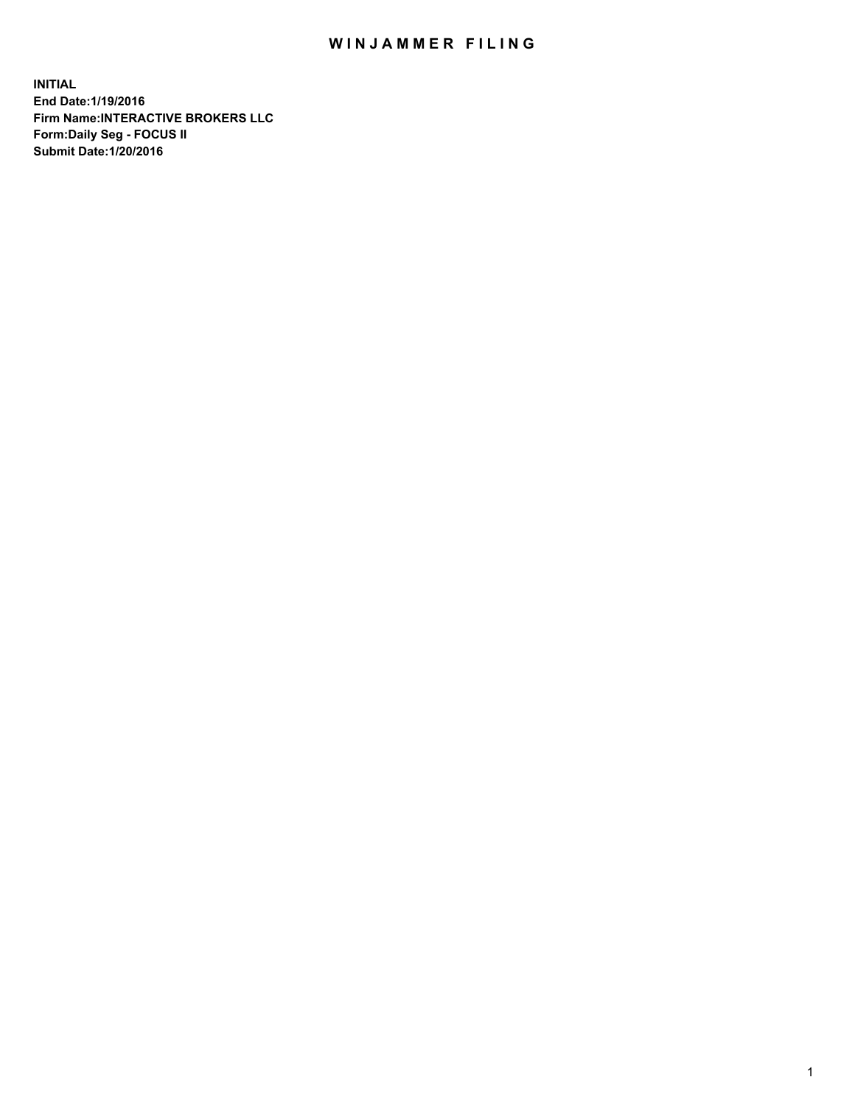## WIN JAMMER FILING

**INITIAL End Date:1/19/2016 Firm Name:INTERACTIVE BROKERS LLC Form:Daily Seg - FOCUS II Submit Date:1/20/2016**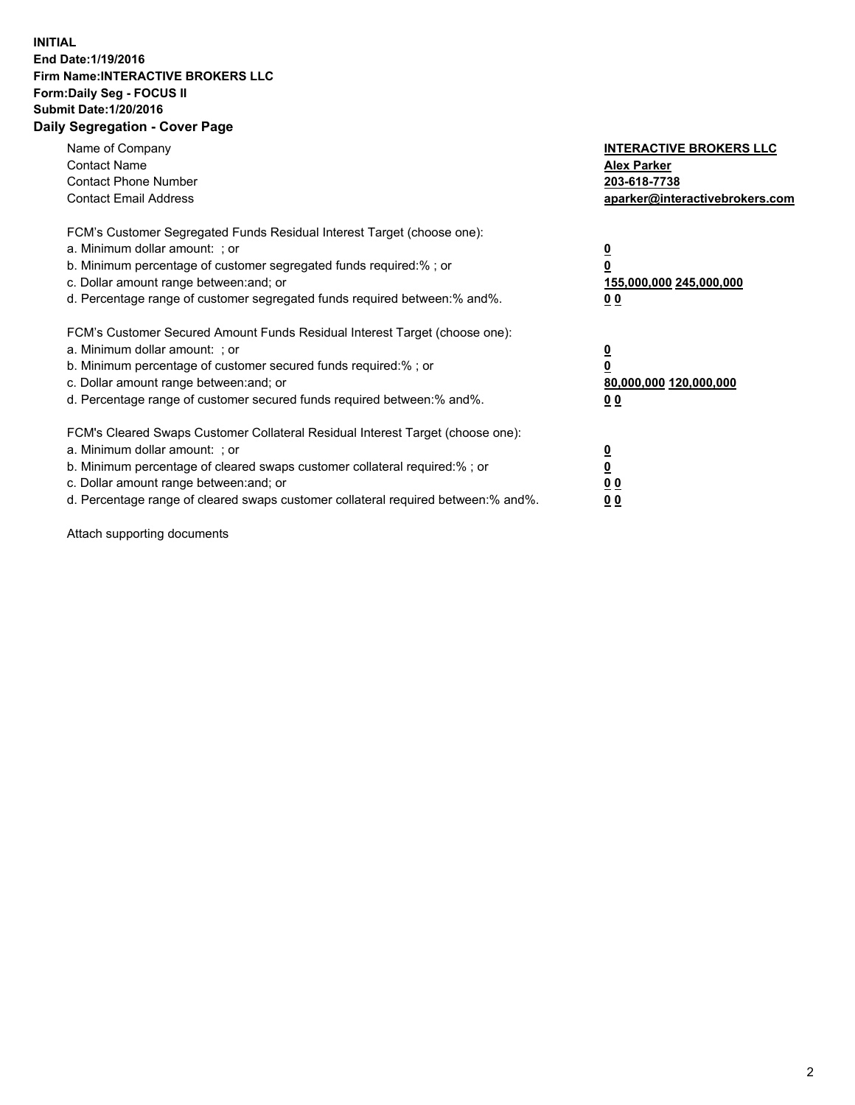## **INITIAL End Date:1/19/2016 Firm Name:INTERACTIVE BROKERS LLC Form:Daily Seg - FOCUS II Submit Date:1/20/2016 Daily Segregation - Cover Page**

| Name of Company<br><b>Contact Name</b><br><b>Contact Phone Number</b><br><b>Contact Email Address</b>                                                                                                                                                                                                                         | <b>INTERACTIVE BROKERS LLC</b><br><b>Alex Parker</b><br>203-618-7738<br>aparker@interactivebrokers.com |
|-------------------------------------------------------------------------------------------------------------------------------------------------------------------------------------------------------------------------------------------------------------------------------------------------------------------------------|--------------------------------------------------------------------------------------------------------|
| FCM's Customer Segregated Funds Residual Interest Target (choose one):<br>a. Minimum dollar amount: ; or<br>b. Minimum percentage of customer segregated funds required:% ; or<br>c. Dollar amount range between: and; or<br>d. Percentage range of customer segregated funds required between:% and%.                        | <u>0</u><br>155,000,000 245,000,000<br>0 <sub>0</sub>                                                  |
| FCM's Customer Secured Amount Funds Residual Interest Target (choose one):<br>a. Minimum dollar amount: ; or<br>b. Minimum percentage of customer secured funds required:%; or<br>c. Dollar amount range between: and; or<br>d. Percentage range of customer secured funds required between: % and %.                         | <u>0</u><br>80,000,000 120,000,000<br><u>00</u>                                                        |
| FCM's Cleared Swaps Customer Collateral Residual Interest Target (choose one):<br>a. Minimum dollar amount: ; or<br>b. Minimum percentage of cleared swaps customer collateral required:%; or<br>c. Dollar amount range between: and; or<br>d. Percentage range of cleared swaps customer collateral required between:% and%. | <u>0</u><br>0 <sub>0</sub><br>0 <sub>0</sub>                                                           |

Attach supporting documents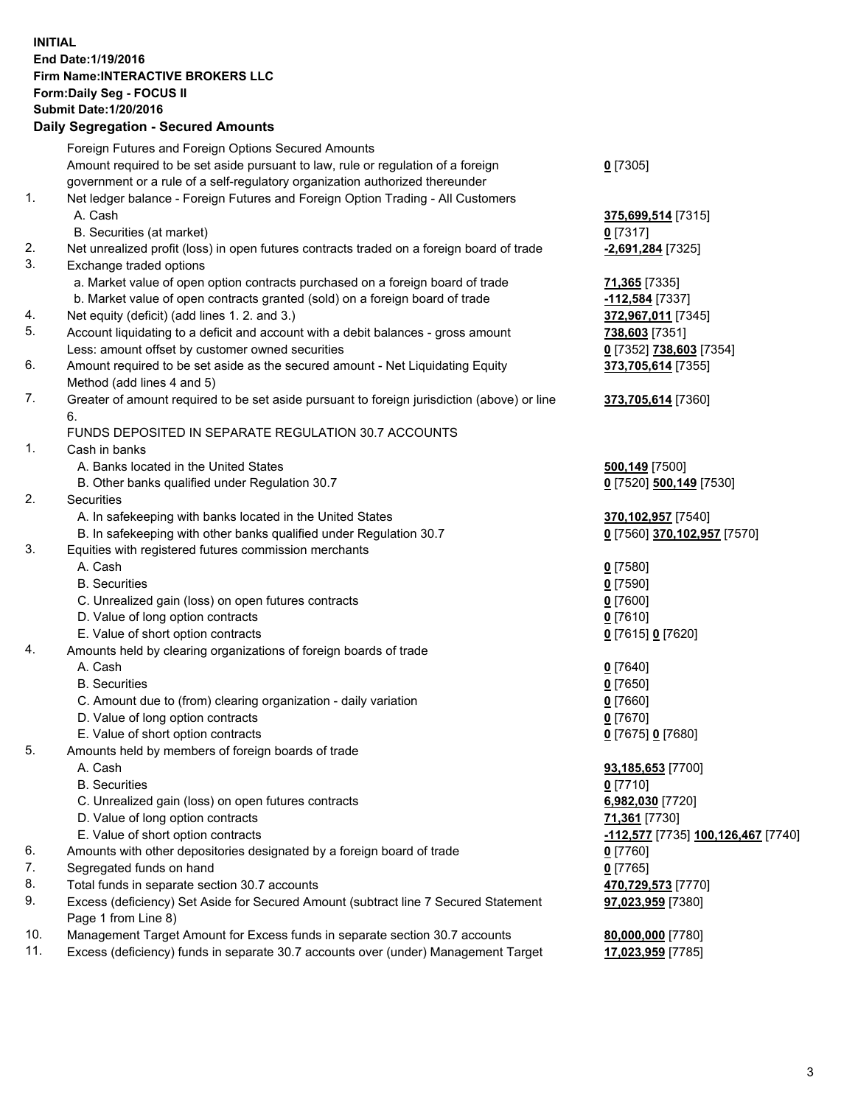## **INITIAL End Date:1/19/2016 Firm Name:INTERACTIVE BROKERS LLC Form:Daily Seg - FOCUS II Submit Date:1/20/2016 Daily Segregation - Secured Amounts**

|     | Dany Ocgregation - Oceaned Anioante                                                         |                                    |
|-----|---------------------------------------------------------------------------------------------|------------------------------------|
|     | Foreign Futures and Foreign Options Secured Amounts                                         |                                    |
|     | Amount required to be set aside pursuant to law, rule or regulation of a foreign            | $0$ [7305]                         |
|     | government or a rule of a self-regulatory organization authorized thereunder                |                                    |
| 1.  | Net ledger balance - Foreign Futures and Foreign Option Trading - All Customers             |                                    |
|     | A. Cash                                                                                     | 375,699,514 [7315]                 |
|     | B. Securities (at market)                                                                   | $0$ [7317]                         |
| 2.  | Net unrealized profit (loss) in open futures contracts traded on a foreign board of trade   | -2,691,284 [7325]                  |
| 3.  | Exchange traded options                                                                     |                                    |
|     | a. Market value of open option contracts purchased on a foreign board of trade              | 71,365 [7335]                      |
|     | b. Market value of open contracts granted (sold) on a foreign board of trade                | -112,584 [7337]                    |
| 4.  | Net equity (deficit) (add lines 1.2. and 3.)                                                | 372,967,011 [7345]                 |
| 5.  | Account liquidating to a deficit and account with a debit balances - gross amount           | 738,603 [7351]                     |
|     | Less: amount offset by customer owned securities                                            | 0 [7352] 738,603 [7354]            |
| 6.  | Amount required to be set aside as the secured amount - Net Liquidating Equity              | 373,705,614 [7355]                 |
|     | Method (add lines 4 and 5)                                                                  |                                    |
| 7.  | Greater of amount required to be set aside pursuant to foreign jurisdiction (above) or line | 373,705,614 [7360]                 |
|     | 6.                                                                                          |                                    |
|     | FUNDS DEPOSITED IN SEPARATE REGULATION 30.7 ACCOUNTS                                        |                                    |
| 1.  | Cash in banks                                                                               |                                    |
|     | A. Banks located in the United States                                                       | 500,149 [7500]                     |
|     | B. Other banks qualified under Regulation 30.7                                              | 0 [7520] 500,149 [7530]            |
| 2.  | Securities                                                                                  |                                    |
|     | A. In safekeeping with banks located in the United States                                   | 370,102,957 [7540]                 |
|     | B. In safekeeping with other banks qualified under Regulation 30.7                          | 0 [7560] 370,102,957 [7570]        |
| 3.  | Equities with registered futures commission merchants                                       |                                    |
|     | A. Cash                                                                                     | $0$ [7580]                         |
|     | <b>B.</b> Securities                                                                        | $0$ [7590]                         |
|     | C. Unrealized gain (loss) on open futures contracts                                         | $0$ [7600]                         |
|     | D. Value of long option contracts                                                           | $0$ [7610]                         |
|     | E. Value of short option contracts                                                          | 0 [7615] 0 [7620]                  |
| 4.  | Amounts held by clearing organizations of foreign boards of trade                           |                                    |
|     | A. Cash                                                                                     | $0$ [7640]                         |
|     | <b>B.</b> Securities                                                                        | $0$ [7650]                         |
|     | C. Amount due to (from) clearing organization - daily variation                             | $0$ [7660]                         |
|     | D. Value of long option contracts                                                           | $0$ [7670]                         |
|     | E. Value of short option contracts                                                          | 0 [7675] 0 [7680]                  |
| 5.  | Amounts held by members of foreign boards of trade                                          |                                    |
|     | A. Cash                                                                                     | 93,185,653 [7700]                  |
|     | <b>B.</b> Securities                                                                        | $0$ [7710]                         |
|     | C. Unrealized gain (loss) on open futures contracts                                         | 6,982,030 [7720]                   |
|     | D. Value of long option contracts                                                           | 71,361 [7730]                      |
|     | E. Value of short option contracts                                                          | -112,577 [7735] 100,126,467 [7740] |
| 6.  | Amounts with other depositories designated by a foreign board of trade                      | 0 [7760]                           |
| 7.  | Segregated funds on hand                                                                    | $0$ [7765]                         |
| 8.  | Total funds in separate section 30.7 accounts                                               | 470,729,573 [7770]                 |
| 9.  | Excess (deficiency) Set Aside for Secured Amount (subtract line 7 Secured Statement         |                                    |
|     | Page 1 from Line 8)                                                                         | 97,023,959 [7380]                  |
| 10. | Management Target Amount for Excess funds in separate section 30.7 accounts                 |                                    |
| 11. | Excess (deficiency) funds in separate 30.7 accounts over (under) Management Target          | 80,000,000 [7780]                  |
|     |                                                                                             | 17,023,959 [7785]                  |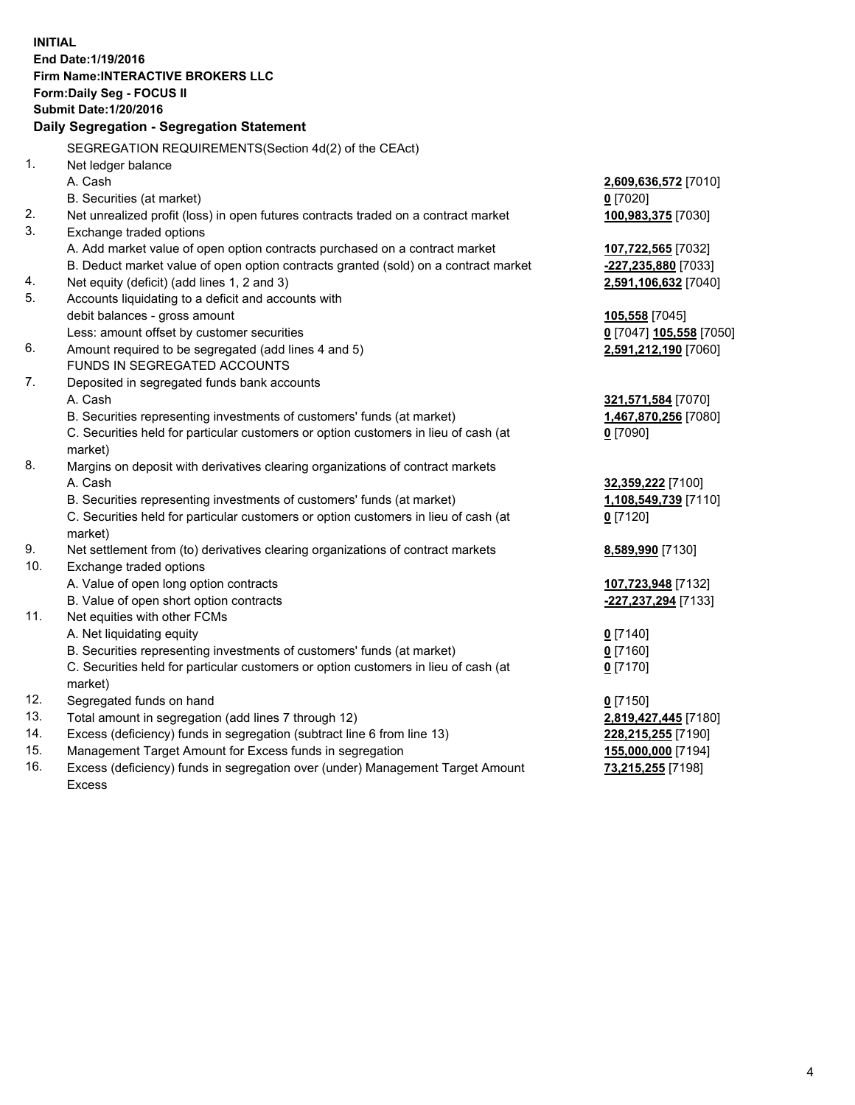**INITIAL End Date:1/19/2016 Firm Name:INTERACTIVE BROKERS LLC Form:Daily Seg - FOCUS II Submit Date:1/20/2016 Daily Segregation - Segregation Statement** SEGREGATION REQUIREMENTS(Section 4d(2) of the CEAct) 1. Net ledger balance A. Cash **2,609,636,572** [7010] B. Securities (at market) **0** [7020] 2. Net unrealized profit (loss) in open futures contracts traded on a contract market **100,983,375** [7030] 3. Exchange traded options A. Add market value of open option contracts purchased on a contract market **107,722,565** [7032] B. Deduct market value of open option contracts granted (sold) on a contract market **-227,235,880** [7033] 4. Net equity (deficit) (add lines 1, 2 and 3) **2,591,106,632** [7040] 5. Accounts liquidating to a deficit and accounts with debit balances - gross amount **105,558** [7045] Less: amount offset by customer securities **0** [7047] **105,558** [7050] 6. Amount required to be segregated (add lines 4 and 5) **2,591,212,190** [7060] FUNDS IN SEGREGATED ACCOUNTS 7. Deposited in segregated funds bank accounts A. Cash **321,571,584** [7070] B. Securities representing investments of customers' funds (at market) **1,467,870,256** [7080] C. Securities held for particular customers or option customers in lieu of cash (at market) **0** [7090] 8. Margins on deposit with derivatives clearing organizations of contract markets A. Cash **32,359,222** [7100] B. Securities representing investments of customers' funds (at market) **1,108,549,739** [7110] C. Securities held for particular customers or option customers in lieu of cash (at market) **0** [7120] 9. Net settlement from (to) derivatives clearing organizations of contract markets **8,589,990** [7130] 10. Exchange traded options A. Value of open long option contracts **107,723,948** [7132] B. Value of open short option contracts **-227,237,294** [7133] 11. Net equities with other FCMs A. Net liquidating equity **0** [7140] B. Securities representing investments of customers' funds (at market) **0** [7160] C. Securities held for particular customers or option customers in lieu of cash (at market) **0** [7170] 12. Segregated funds on hand **0** [7150] 13. Total amount in segregation (add lines 7 through 12) **2,819,427,445** [7180] 14. Excess (deficiency) funds in segregation (subtract line 6 from line 13) **228,215,255** [7190] 15. Management Target Amount for Excess funds in segregation **155,000,000** [7194] **73,215,255** [7198]

16. Excess (deficiency) funds in segregation over (under) Management Target Amount Excess